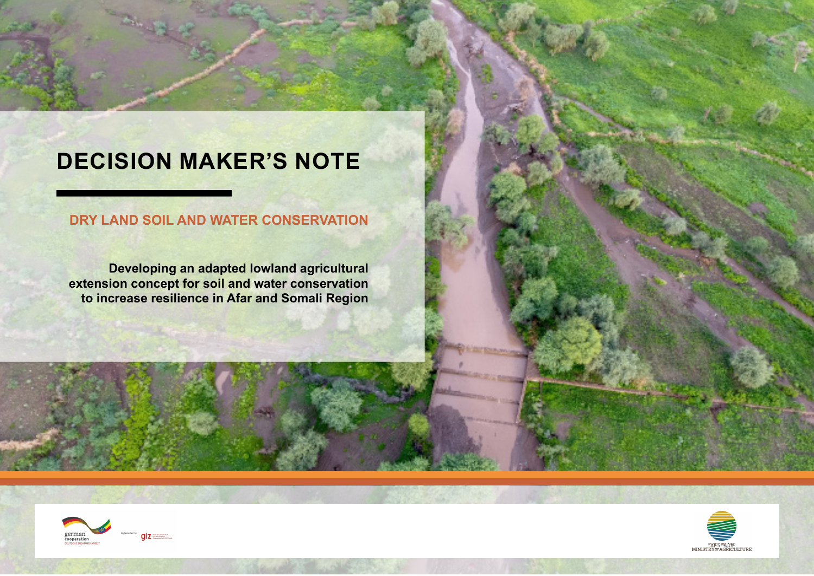# **DECISION MAKER'S NOTE**

## **DRY LAND SOIL AND WATER CONSERVATION**

**Developing an adapted lowland agricultural extension concept for soil and water conservation to increase resilience in Afar and Somali Region**



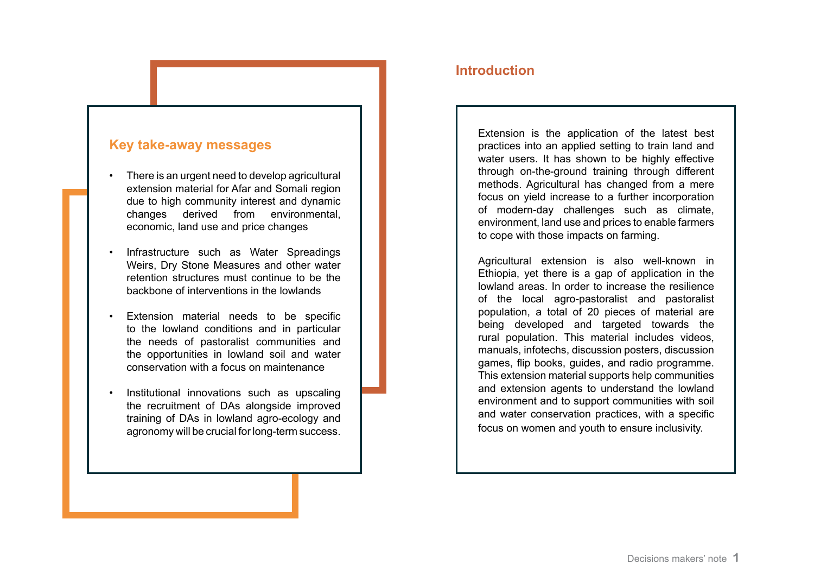#### **Key take-away messages**

- There is an urgent need to develop agricultural extension material for Afar and Somali region due to high community interest and dynamic changes derived from environmental, economic, land use and price changes
- Infrastructure such as Water Spreadings Weirs, Dry Stone Measures and other water retention structures must continue to be the backbone of interventions in the lowlands
- Extension material needs to be specific to the lowland conditions and in particular the needs of pastoralist communities and the opportunities in lowland soil and water conservation with a focus on maintenance
- Institutional innovations such as upscaling the recruitment of DAs alongside improved training of DAs in lowland agro-ecology and agronomy will be crucial for long-term success.

#### **Introduction**

Extension is the application of the latest best practices into an applied setting to train land and water users. It has shown to be highly effective through on-the-ground training through different methods. Agricultural has changed from a mere focus on yield increase to a further incorporation of modern-day challenges such as climate, environment, land use and prices to enable farmers to cope with those impacts on farming.

Agricultural extension is also well-known in Ethiopia, yet there is a gap of application in the lowland areas. In order to increase the resilience of the local agro-pastoralist and pastoralist population, a total of 20 pieces of material are being developed and targeted towards the rural population. This material includes videos, manuals, infotechs, discussion posters, discussion games, flip books, guides, and radio programme. This extension material supports help communities and extension agents to understand the lowland environment and to support communities with soil and water conservation practices, with a specific focus on women and youth to ensure inclusivity.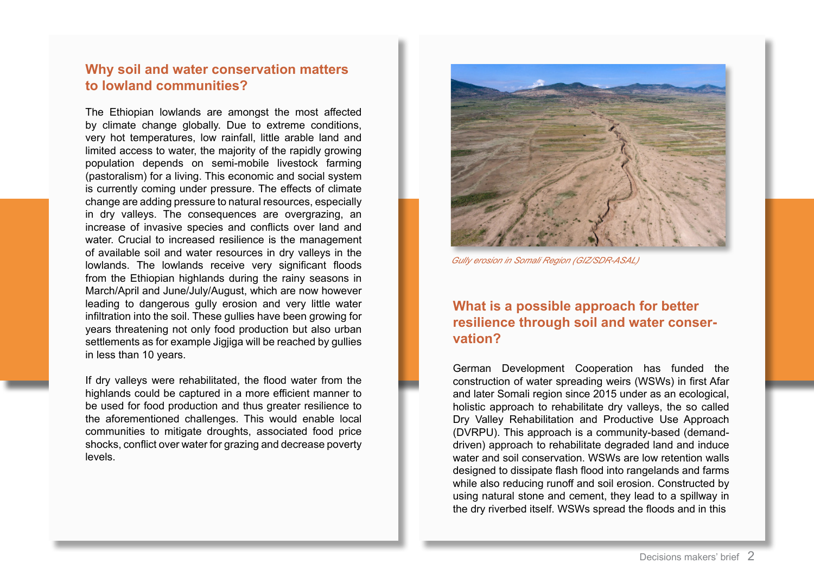### **Why soil and water conservation matters to lowland communities?**

The Ethiopian lowlands are amongst the most affected by climate change globally. Due to extreme conditions, very hot temperatures, low rainfall, little arable land and limited access to water, the majority of the rapidly growing population depends on semi-mobile livestock farming (pastoralism) for a living. This economic and social system is currently coming under pressure. The effects of climate change are adding pressure to natural resources, especially in dry valleys. The consequences are overgrazing, an increase of invasive species and conflicts over land and water. Crucial to increased resilience is the management of available soil and water resources in dry valleys in the lowlands. The lowlands receive very significant floods from the Ethiopian highlands during the rainy seasons in March/April and June/July/August, which are now however leading to dangerous gully erosion and very little water infiltration into the soil. These gullies have been growing for years threatening not only food production but also urban settlements as for example Jigjiga will be reached by gullies in less than 10 years.

If dry valleys were rehabilitated, the flood water from the highlands could be captured in a more efficient manner to be used for food production and thus greater resilience to the aforementioned challenges. This would enable local communities to mitigate droughts, associated food price shocks, conflict over water for grazing and decrease poverty levels.



*Gully erosion in Somali Region (GIZ/SDR-ASAL)*

#### **What is a possible approach for better resilience through soil and water conservation?**

German Development Cooperation has funded the construction of water spreading weirs (WSWs) in first Afar and later Somali region since 2015 under as an ecological, holistic approach to rehabilitate dry valleys, the so called Dry Valley Rehabilitation and Productive Use Approach (DVRPU). This approach is a community-based (demanddriven) approach to rehabilitate degraded land and induce water and soil conservation. WSWs are low retention walls designed to dissipate flash flood into rangelands and farms while also reducing runoff and soil erosion. Constructed by using natural stone and cement, they lead to a spillway in the dry riverbed itself. WSWs spread the floods and in this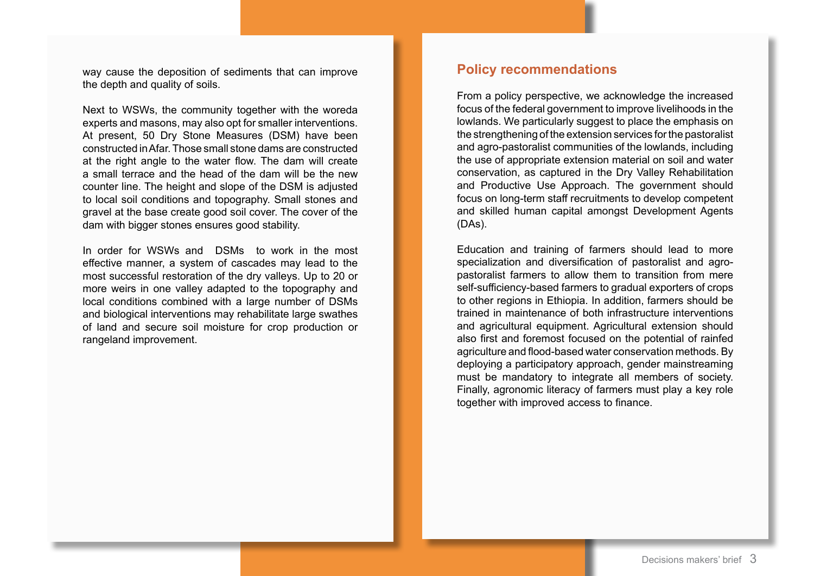way cause the deposition of sediments that can improve the depth and quality of soils.

Next to WSWs, the community together with the woreda experts and masons, may also opt for smaller interventions. At present, 50 Dry Stone Measures (DSM) have been constructed in Afar. Those small stone dams are constructed at the right angle to the water flow. The dam will create a small terrace and the head of the dam will be the new counter line. The height and slope of the DSM is adjusted to local soil conditions and topography. Small stones and gravel at the base create good soil cover. The cover of the dam with bigger stones ensures good stability.

In order for WSWs and DSMs to work in the most effective manner, a system of cascades may lead to the most successful restoration of the dry valleys. Up to 20 or more weirs in one valley adapted to the topography and local conditions combined with a large number of DSMs and biological interventions may rehabilitate large swathes of land and secure soil moisture for crop production or rangeland improvement.

#### **Policy recommendations**

From a policy perspective, we acknowledge the increased focus of the federal government to improve livelihoods in the lowlands. We particularly suggest to place the emphasis on the strengthening of the extension services for the pastoralist and agro-pastoralist communities of the lowlands, including the use of appropriate extension material on soil and water conservation, as captured in the Dry Valley Rehabilitation and Productive Use Approach. The government should focus on long-term staff recruitments to develop competent and skilled human capital amongst Development Agents (DAs).

Education and training of farmers should lead to more specialization and diversification of pastoralist and agropastoralist farmers to allow them to transition from mere self-sufficiency-based farmers to gradual exporters of crops to other regions in Ethiopia. In addition, farmers should be trained in maintenance of both infrastructure interventions and agricultural equipment. Agricultural extension should also first and foremost focused on the potential of rainfed agriculture and flood-based water conservation methods. By deploying a participatory approach, gender mainstreaming must be mandatory to integrate all members of society. Finally, agronomic literacy of farmers must play a key role together with improved access to finance.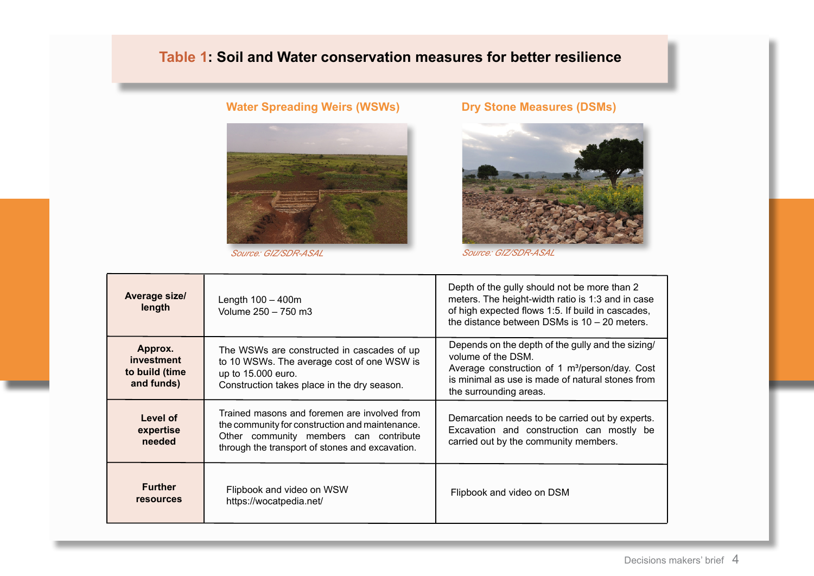# **Table 1: Soil and Water conservation measures for better resilience**

# **Water Spreading Weirs (WSWs) Dry Stone Measures (DSMs)**





*Source: GIZ/SDR-ASAL Source: GIZ/SDR-ASAL*

| Average size/<br>length                               | Length $100 - 400m$<br>Volume 250 - 750 m3                                                                                                                                                   | Depth of the gully should not be more than 2<br>meters. The height-width ratio is 1:3 and in case<br>of high expected flows 1:5. If build in cascades,<br>the distance between DSMs is $10 - 20$ meters.            |
|-------------------------------------------------------|----------------------------------------------------------------------------------------------------------------------------------------------------------------------------------------------|---------------------------------------------------------------------------------------------------------------------------------------------------------------------------------------------------------------------|
| Approx.<br>investment<br>to build (time<br>and funds) | The WSWs are constructed in cascades of up<br>to 10 WSWs. The average cost of one WSW is<br>up to 15.000 euro.<br>Construction takes place in the dry season.                                | Depends on the depth of the gully and the sizing/<br>volume of the DSM.<br>Average construction of 1 m <sup>3</sup> /person/day. Cost<br>is minimal as use is made of natural stones from<br>the surrounding areas. |
| Level of<br>expertise<br>needed                       | Trained masons and foremen are involved from<br>the community for construction and maintenance.<br>Other community members can contribute<br>through the transport of stones and excavation. | Demarcation needs to be carried out by experts.<br>Excavation and construction can mostly be<br>carried out by the community members.                                                                               |
| <b>Further</b><br><b>resources</b>                    | Flipbook and video on WSW<br>https://wocatpedia.net/                                                                                                                                         | Flipbook and video on DSM                                                                                                                                                                                           |